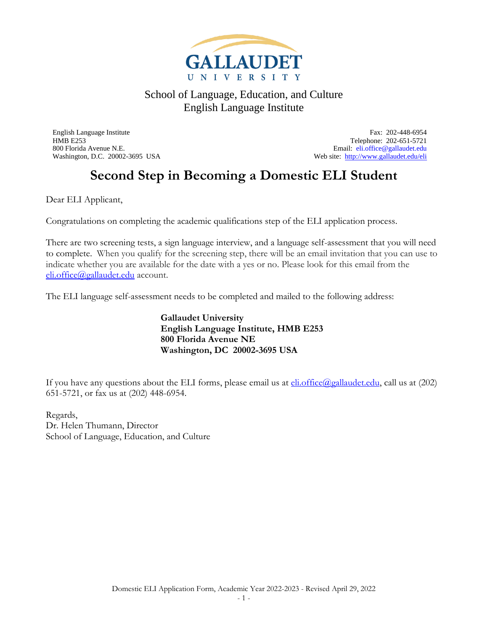

English Language Institute Fax: 202-448-6954 HMB E253 Telephone: 202-651-5721 800 Florida Avenue N.E.<br>
Web site: http://www.gallaudet.edu/eli<br>
Web site: http://www.gallaudet.edu/eli Web site:<http://www.gallaudet.edu/eli>

# **Second Step in Becoming a Domestic ELI Student**

Dear ELI Applicant,

Congratulations on completing the academic qualifications step of the ELI application process.

There are two screening tests, a sign language interview, and a language self-assessment that you will need to complete. When you qualify for the screening step, there will be an email invitation that you can use to indicate whether you are available for the date with a yes or no. Please look for this email from the [eli.office@gallaudet.edu](mailto:eli.office@gallaudet.edu) account.

The ELI language self-assessment needs to be completed and mailed to the following address:

**Gallaudet University English Language Institute, HMB E253 800 Florida Avenue NE Washington, DC 20002-3695 USA**

If you have any questions about the ELI forms, please email us at  $\frac{\text{eli.office}(Q_{\text{Q}}_\text{Q}allaudet.edu)}{\text{elludet.edu}}$ , call us at (202) 651-5721, or fax us at (202) 448-6954.

Regards, Dr. Helen Thumann, Director School of Language, Education, and Culture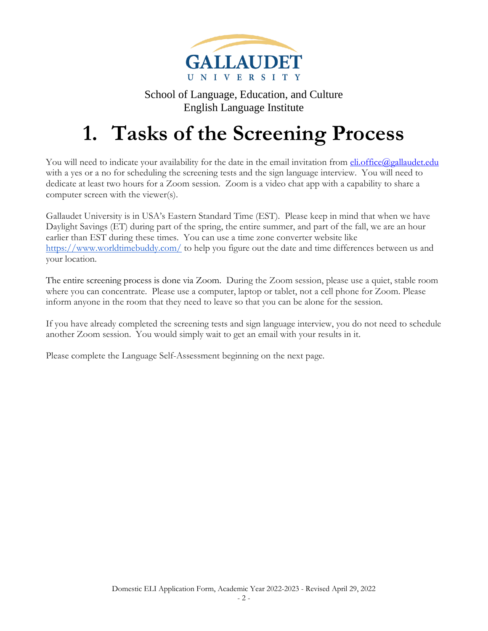

# **1. Tasks of the Screening Process**

You will need to indicate your availability for the date in the email invitation from **eli.office@gallaudet.edu** with a yes or a no for scheduling the screening tests and the sign language interview. You will need to dedicate at least two hours for a Zoom session. Zoom is a video chat app with a capability to share a computer screen with the viewer(s).

Gallaudet University is in USA's Eastern Standard Time (EST). Please keep in mind that when we have Daylight Savings (ET) during part of the spring, the entire summer, and part of the fall, we are an hour earlier than EST during these times. You can use a time zone converter website like <https://www.worldtimebuddy.com/> to help you figure out the date and time differences between us and your location.

The entire screening process is done via Zoom. During the Zoom session, please use a quiet, stable room where you can concentrate. Please use a computer, laptop or tablet, not a cell phone for Zoom. Please inform anyone in the room that they need to leave so that you can be alone for the session.

If you have already completed the screening tests and sign language interview, you do not need to schedule another Zoom session. You would simply wait to get an email with your results in it.

Please complete the Language Self-Assessment beginning on the next page.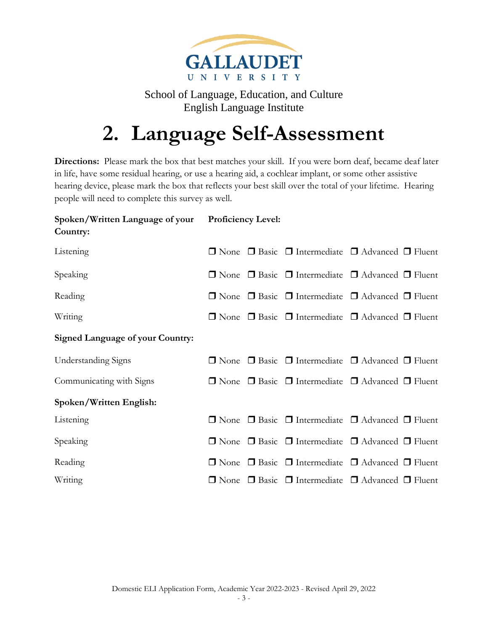

# **2. Language Self-Assessment**

**Directions:** Please mark the box that best matches your skill. If you were born deaf, became deaf later in life, have some residual hearing, or use a hearing aid, a cochlear implant, or some other assistive hearing device, please mark the box that reflects your best skill over the total of your lifetime. Hearing people will need to complete this survey as well.

#### **Spoken/Written Language of your Country: Proficiency Level:**

| Listening                               |  | $\Box$ None $\Box$ Basic $\Box$ Intermediate $\Box$ Advanced $\Box$ Fluent |
|-----------------------------------------|--|----------------------------------------------------------------------------|
| Speaking                                |  | $\Box$ None $\Box$ Basic $\Box$ Intermediate $\Box$ Advanced $\Box$ Fluent |
| Reading                                 |  | $\Box$ None $\Box$ Basic $\Box$ Intermediate $\Box$ Advanced $\Box$ Fluent |
| Writing                                 |  | $\Box$ None $\Box$ Basic $\Box$ Intermediate $\Box$ Advanced $\Box$ Fluent |
| <b>Signed Language of your Country:</b> |  |                                                                            |
| <b>Understanding Signs</b>              |  | $\Box$ None $\Box$ Basic $\Box$ Intermediate $\Box$ Advanced $\Box$ Fluent |
| Communicating with Signs                |  | $\Box$ None $\Box$ Basic $\Box$ Intermediate $\Box$ Advanced $\Box$ Fluent |
| Spoken/Written English:                 |  |                                                                            |
| Listening                               |  | $\Box$ None $\Box$ Basic $\Box$ Intermediate $\Box$ Advanced $\Box$ Fluent |
| Speaking                                |  | $\Box$ None $\Box$ Basic $\Box$ Intermediate $\Box$ Advanced $\Box$ Fluent |
| Reading                                 |  | $\Box$ None $\Box$ Basic $\Box$ Intermediate $\Box$ Advanced $\Box$ Fluent |
| Writing                                 |  | $\Box$ None $\Box$ Basic $\Box$ Intermediate $\Box$ Advanced $\Box$ Fluent |